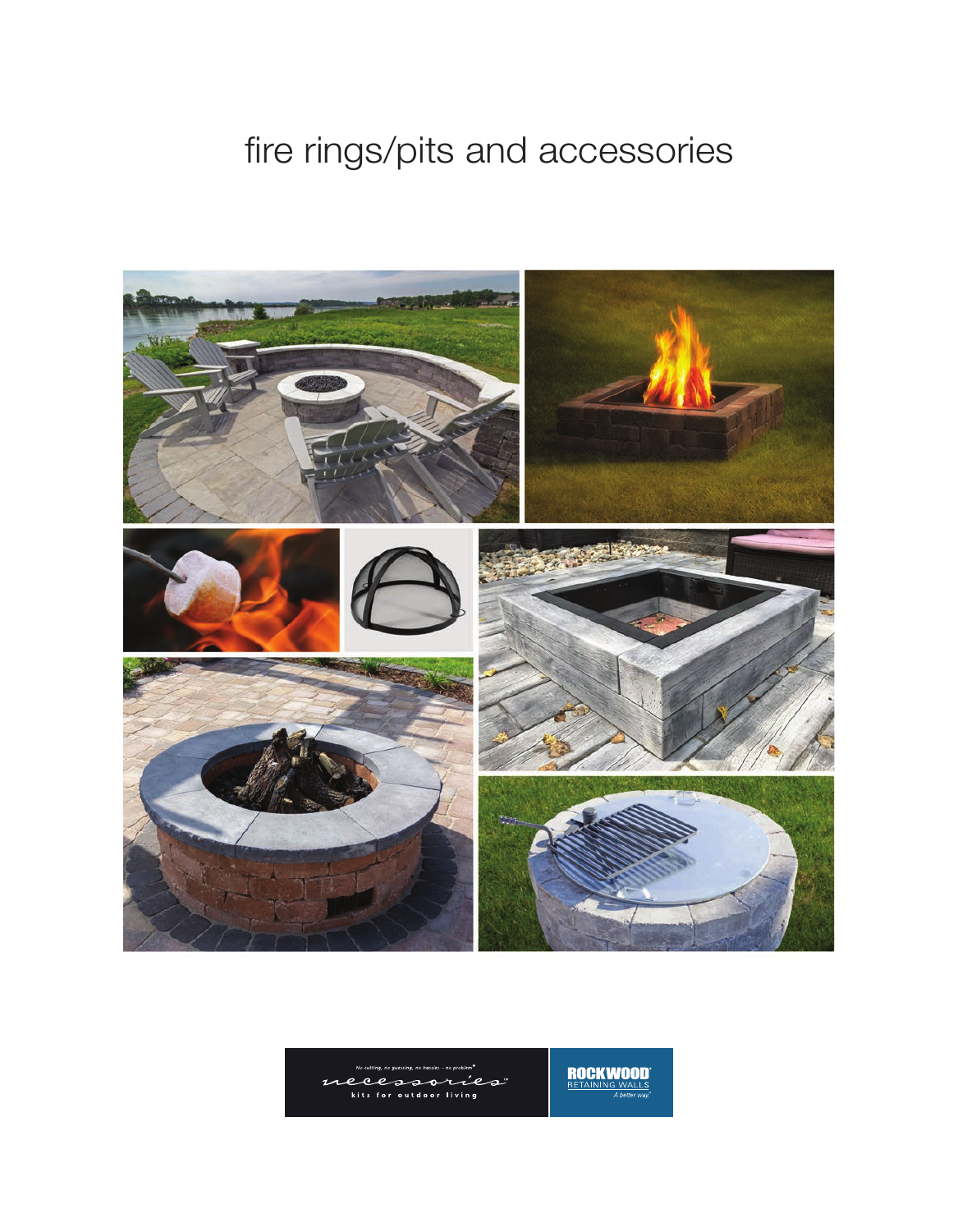## fire rings/pits and accessories



**ROCKWOOD**